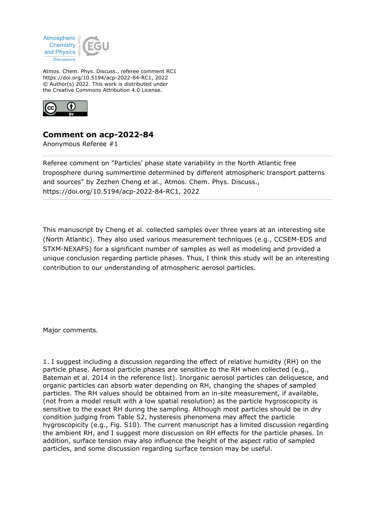

Atmos. Chem. Phys. Discuss., referee comment RC1 https://doi.org/10.5194/acp-2022-84-RC1, 2022 © Author(s) 2022. This work is distributed under the Creative Commons Attribution 4.0 License.



## **Comment on acp-2022-84**

Anonymous Referee #1

Referee comment on "Particles' phase state variability in the North Atlantic free troposphere during summertime determined by different atmospheric transport patterns and sources" by Zezhen Cheng et al., Atmos. Chem. Phys. Discuss., https://doi.org/10.5194/acp-2022-84-RC1, 2022

This manuscript by Cheng et al. collected samples over three years at an interesting site (North Atlantic). They also used various measurement techniques (e.g., CCSEM-EDS and STXM-NEXAFS) for a significant number of samples as well as modeling and provided a unique conclusion regarding particle phases. Thus, I think this study will be an interesting contribution to our understanding of atmospheric aerosol particles.

Major comments.

1. I suggest including a discussion regarding the effect of relative humidity (RH) on the particle phase. Aerosol particle phases are sensitive to the RH when collected (e.g., Bateman et al. 2014 in the reference list). Inorganic aerosol particles can deliquesce, and organic particles can absorb water depending on RH, changing the shapes of sampled particles. The RH values should be obtained from an in-site measurement, if available, (not from a model result with a low spatial resolution) as the particle hygroscopicity is sensitive to the exact RH during the sampling. Although most particles should be in dry condition judging from Table S2, hysteresis phenomena may affect the particle hygroscopicity (e.g., Fig. S10). The current manuscript has a limited discussion regarding the ambient RH, and I suggest more discussion on RH effects for the particle phases. In addition, surface tension may also influence the height of the aspect ratio of sampled particles, and some discussion regarding surface tension may be useful.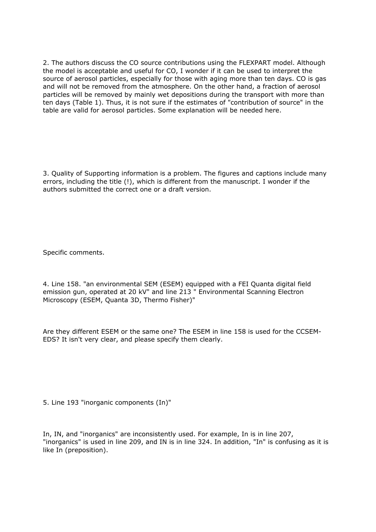2. The authors discuss the CO source contributions using the FLEXPART model. Although the model is acceptable and useful for CO, I wonder if it can be used to interpret the source of aerosol particles, especially for those with aging more than ten days. CO is gas and will not be removed from the atmosphere. On the other hand, a fraction of aerosol particles will be removed by mainly wet depositions during the transport with more than ten days (Table 1). Thus, it is not sure if the estimates of "contribution of source" in the table are valid for aerosol particles. Some explanation will be needed here.

3. Quality of Supporting information is a problem. The figures and captions include many errors, including the title (!), which is different from the manuscript. I wonder if the authors submitted the correct one or a draft version.

Specific comments.

4. Line 158. "an environmental SEM (ESEM) equipped with a FEI Quanta digital field emission gun, operated at 20 kV" and line 213 " Environmental Scanning Electron Microscopy (ESEM, Quanta 3D, Thermo Fisher)"

Are they different ESEM or the same one? The ESEM in line 158 is used for the CCSEM-EDS? It isn't very clear, and please specify them clearly.

5. Line 193 "inorganic components (In)"

In, IN, and "inorganics" are inconsistently used. For example, In is in line 207, "inorganics" is used in line 209, and IN is in line 324. In addition, "In" is confusing as it is like In (preposition).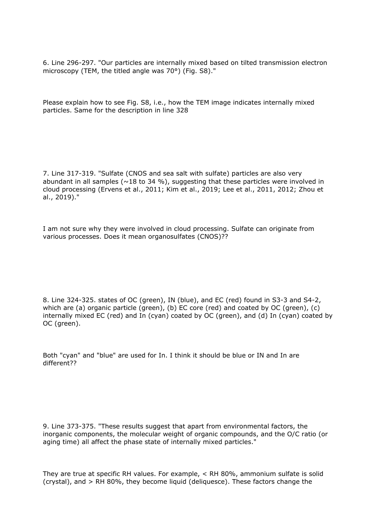6. Line 296-297. "Our particles are internally mixed based on tilted transmission electron microscopy (TEM, the titled angle was 70°) (Fig. S8)."

Please explain how to see Fig. S8, i.e., how the TEM image indicates internally mixed particles. Same for the description in line 328

7. Line 317-319. "Sulfate (CNOS and sea salt with sulfate) particles are also very abundant in all samples ( $\sim$ 18 to 34 %), suggesting that these particles were involved in cloud processing (Ervens et al., 2011; Kim et al., 2019; Lee et al., 2011, 2012; Zhou et al., 2019)."

I am not sure why they were involved in cloud processing. Sulfate can originate from various processes. Does it mean organosulfates (CNOS)??

8. Line 324-325. states of OC (green), IN (blue), and EC (red) found in S3-3 and S4-2, which are (a) organic particle (green), (b) EC core (red) and coated by OC (green), (c) internally mixed EC (red) and In (cyan) coated by OC (green), and (d) In (cyan) coated by OC (green).

Both "cyan" and "blue" are used for In. I think it should be blue or IN and In are different??

9. Line 373-375. "These results suggest that apart from environmental factors, the inorganic components, the molecular weight of organic compounds, and the O/C ratio (or aging time) all affect the phase state of internally mixed particles."

They are true at specific RH values. For example, < RH 80%, ammonium sulfate is solid (crystal), and > RH 80%, they become liquid (deliquesce). These factors change the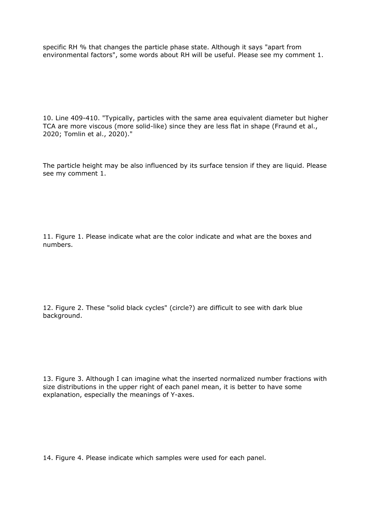specific RH % that changes the particle phase state. Although it says "apart from environmental factors", some words about RH will be useful. Please see my comment 1.

10. Line 409-410. "Typically, particles with the same area equivalent diameter but higher TCA are more viscous (more solid-like) since they are less flat in shape (Fraund et al., 2020; Tomlin et al., 2020)."

The particle height may be also influenced by its surface tension if they are liquid. Please see my comment 1.

11. Figure 1. Please indicate what are the color indicate and what are the boxes and numbers.

12. Figure 2. These "solid black cycles" (circle?) are difficult to see with dark blue background.

13. Figure 3. Although I can imagine what the inserted normalized number fractions with size distributions in the upper right of each panel mean, it is better to have some explanation, especially the meanings of Y-axes.

14. Figure 4. Please indicate which samples were used for each panel.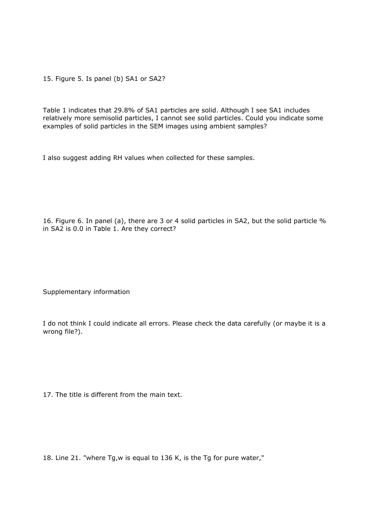15. Figure 5. Is panel (b) SA1 or SA2?

Table 1 indicates that 29.8% of SA1 particles are solid. Although I see SA1 includes relatively more semisolid particles, I cannot see solid particles. Could you indicate some examples of solid particles in the SEM images using ambient samples?

I also suggest adding RH values when collected for these samples.

16. Figure 6. In panel (a), there are 3 or 4 solid particles in SA2, but the solid particle % in SA2 is 0.0 in Table 1. Are they correct?

Supplementary information

I do not think I could indicate all errors. Please check the data carefully (or maybe it is a wrong file?).

17. The title is different from the main text.

18. Line 21. "where Tg,w is equal to 136 K, is the Tg for pure water,"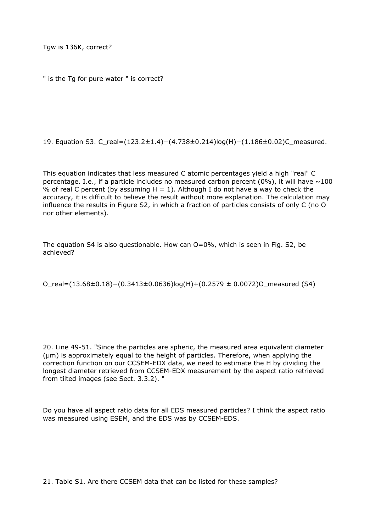Tgw is 136K, correct?

```
" is the Tg for pure water " is correct?
```
19. Equation S3. C\_real=(123.2±1.4)−(4.738±0.214)log(H)−(1.186±0.02)C\_measured.

This equation indicates that less measured C atomic percentages yield a high "real" C percentage. I.e., if a particle includes no measured carbon percent (0%), it will have  $\sim$ 100 % of real C percent (by assuming  $H = 1$ ). Although I do not have a way to check the accuracy, it is difficult to believe the result without more explanation. The calculation may influence the results in Figure S2, in which a fraction of particles consists of only C (no O nor other elements).

The equation S4 is also questionable. How can O=0%, which is seen in Fig. S2, be achieved?

O\_real=(13.68±0.18)−(0.3413±0.0636)log(H)+(0.2579 ± 0.0072)O\_measured (S4)

20. Line 49-51. "Since the particles are spheric, the measured area equivalent diameter (μm) is approximately equal to the height of particles. Therefore, when applying the correction function on our CCSEM-EDX data, we need to estimate the H by dividing the longest diameter retrieved from CCSEM-EDX measurement by the aspect ratio retrieved from tilted images (see Sect. 3.3.2). "

Do you have all aspect ratio data for all EDS measured particles? I think the aspect ratio was measured using ESEM, and the EDS was by CCSEM-EDS.

21. Table S1. Are there CCSEM data that can be listed for these samples?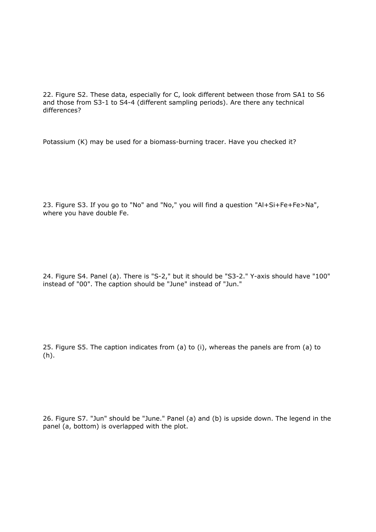22. Figure S2. These data, especially for C, look different between those from SA1 to S6 and those from S3-1 to S4-4 (different sampling periods). Are there any technical differences?

Potassium (K) may be used for a biomass-burning tracer. Have you checked it?

23. Figure S3. If you go to "No" and "No," you will find a question "Al+Si+Fe+Fe>Na", where you have double Fe.

24. Figure S4. Panel (a). There is "S-2," but it should be "S3-2." Y-axis should have "100" instead of "00". The caption should be "June" instead of "Jun."

25. Figure S5. The caption indicates from (a) to (i), whereas the panels are from (a) to (h).

26. Figure S7. "Jun" should be "June." Panel (a) and (b) is upside down. The legend in the panel (a, bottom) is overlapped with the plot.